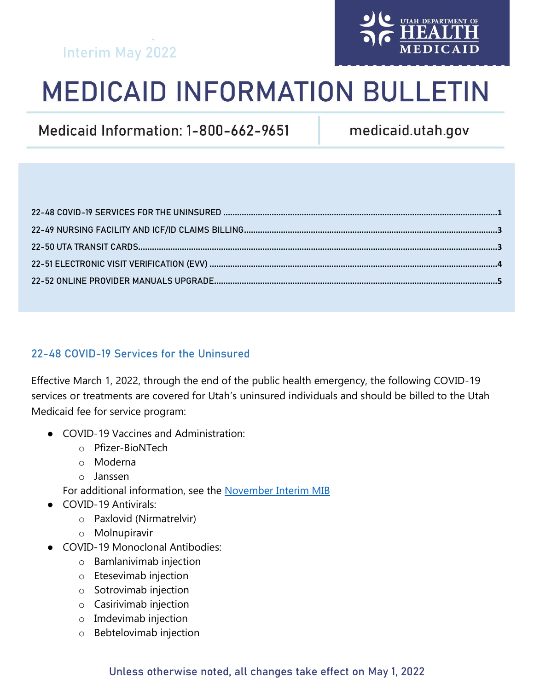# Interim May 2022



# **MEDICAID INFORMATION BULLETIN**

Medicaid Information: 1-800-662-9651

medicaid.utah.gov

## <span id="page-0-0"></span>22-48 COVID-19 Services for the Uninsured

Effective March 1, 2022, through the end of the public health emergency, the following COVID-19 services or treatments are covered for Utah's uninsured individuals and should be billed to the Utah Medicaid fee for service program:

- COVID-19 Vaccines and Administration:
	- o Pfizer-BioNTech
	- o Moderna
	- o Janssen

For additional information, see the [November Interim MIB](https://medicaid.utah.gov/Documents/manuals/pdfs/Medicaid%20Information%20Bulletins/Traditional%20Medicaid%20Program/2021/Special%20Interim%20MIB/November2021Interim-MIB.pdf)

- COVID-19 Antivirals:
	- o Paxlovid (Nirmatrelvir)
	- o Molnupiravir
- COVID-19 Monoclonal Antibodies:
	- o Bamlanivimab injection
	- o Etesevimab injection
	- o Sotrovimab injection
	- o Casirivimab injection
	- o Imdevimab injection
	- o Bebtelovimab injection

#### Unless otherwise noted, all changes take effect on May 1, 2022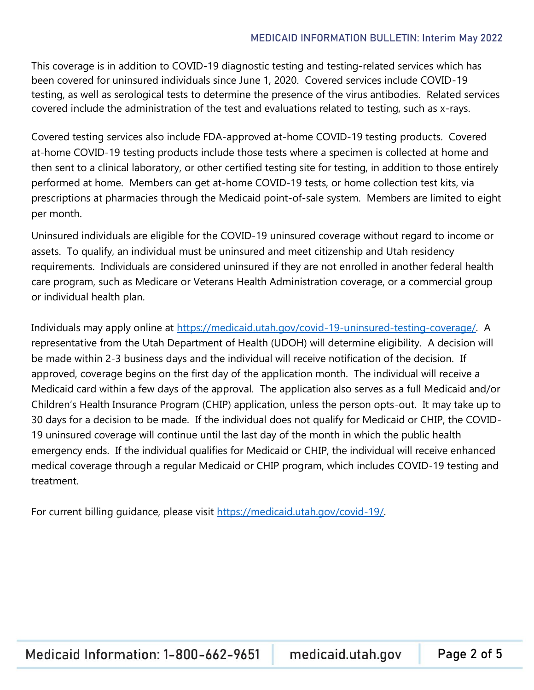This coverage is in addition to COVID-19 diagnostic testing and testing-related services which has been covered for uninsured individuals since June 1, 2020. Covered services include COVID-19 testing, as well as serological tests to determine the presence of the virus antibodies. Related services covered include the administration of the test and evaluations related to testing, such as x-rays.

Covered testing services also include FDA-approved at-home COVID-19 testing products. Covered at-home COVID-19 testing products include those tests where a specimen is collected at home and then sent to a clinical laboratory, or other certified testing site for testing, in addition to those entirely performed at home. Members can get at-home COVID-19 tests, or home collection test kits, via prescriptions at pharmacies through the Medicaid point-of-sale system. Members are limited to eight per month.

Uninsured individuals are eligible for the COVID-19 uninsured coverage without regard to income or assets. To qualify, an individual must be uninsured and meet citizenship and Utah residency requirements. Individuals are considered uninsured if they are not enrolled in another federal health care program, such as Medicare or Veterans Health Administration coverage, or a commercial group or individual health plan.

Individuals may apply online at [https://medicaid.utah.gov/covid-19-uninsured-testing-coverage/.](https://medicaid.utah.gov/covid-19-uninsured-testing-coverage/) A representative from the Utah Department of Health (UDOH) will determine eligibility. A decision will be made within 2-3 business days and the individual will receive notification of the decision. If approved, coverage begins on the first day of the application month. The individual will receive a Medicaid card within a few days of the approval. The application also serves as a full Medicaid and/or Children's Health Insurance Program (CHIP) application, unless the person opts-out. It may take up to 30 days for a decision to be made. If the individual does not qualify for Medicaid or CHIP, the COVID-19 uninsured coverage will continue until the last day of the month in which the public health emergency ends. If the individual qualifies for Medicaid or CHIP, the individual will receive enhanced medical coverage through a regular Medicaid or CHIP program, which includes COVID-19 testing and treatment.

For current billing guidance, please visit [https://medicaid.utah.gov/covid-19/.](https://medicaid.utah.gov/covid-19/)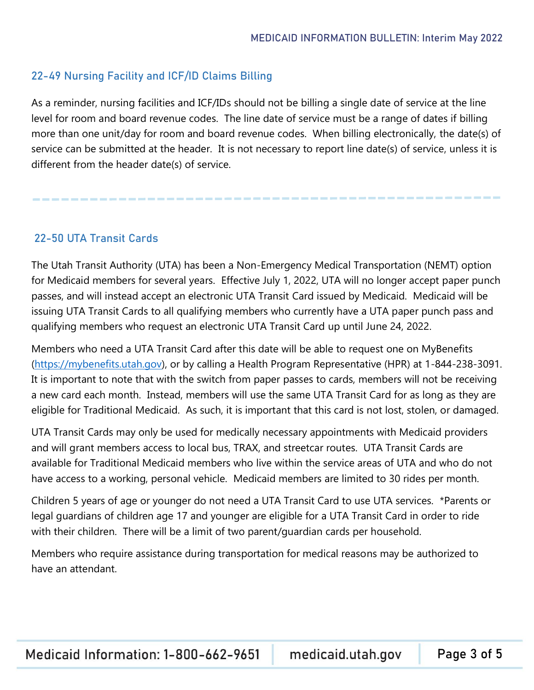#### <span id="page-2-0"></span>22-49 Nursing Facility and ICF/ID Claims Billing

As a reminder, nursing facilities and ICF/IDs should not be billing a single date of service at the line level for room and board revenue codes. The line date of service must be a range of dates if billing more than one unit/day for room and board revenue codes. When billing electronically, the date(s) of service can be submitted at the header. It is not necessary to report line date(s) of service, unless it is different from the header date(s) of service.

#### <span id="page-2-1"></span>22-50 UTA Transit Cards

The Utah Transit Authority (UTA) has been a Non-Emergency Medical Transportation (NEMT) option for Medicaid members for several years. Effective July 1, 2022, UTA will no longer accept paper punch passes, and will instead accept an electronic UTA Transit Card issued by Medicaid. Medicaid will be issuing UTA Transit Cards to all qualifying members who currently have a UTA paper punch pass and qualifying members who request an electronic UTA Transit Card up until June 24, 2022.

Members who need a UTA Transit Card after this date will be able to request one on MyBenefits [\(https://mybenefits.utah.gov\)](https://mybenefits.utah.gov/), or by calling a Health Program Representative (HPR) at 1-844-238-3091. It is important to note that with the switch from paper passes to cards, members will not be receiving a new card each month. Instead, members will use the same UTA Transit Card for as long as they are eligible for Traditional Medicaid. As such, it is important that this card is not lost, stolen, or damaged.

UTA Transit Cards may only be used for medically necessary appointments with Medicaid providers and will grant members access to local bus, TRAX, and streetcar routes. UTA Transit Cards are available for Traditional Medicaid members who live within the service areas of UTA and who do not have access to a working, personal vehicle. Medicaid members are limited to 30 rides per month.

Children 5 years of age or younger do not need a UTA Transit Card to use UTA services. \*Parents or legal guardians of children age 17 and younger are eligible for a UTA Transit Card in order to ride with their children. There will be a limit of two parent/guardian cards per household.

Members who require assistance during transportation for medical reasons may be authorized to have an attendant.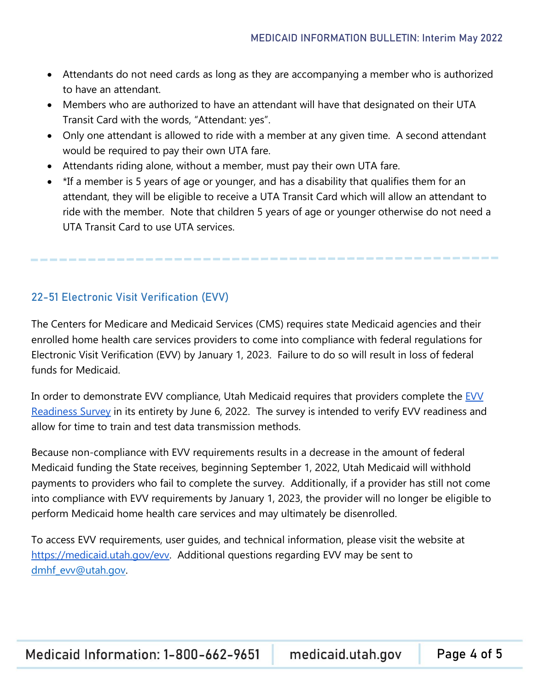- Attendants do not need cards as long as they are accompanying a member who is authorized to have an attendant.
- Members who are authorized to have an attendant will have that designated on their UTA Transit Card with the words, "Attendant: yes".
- Only one attendant is allowed to ride with a member at any given time. A second attendant would be required to pay their own UTA fare.
- Attendants riding alone, without a member, must pay their own UTA fare.
- \*If a member is 5 years of age or younger, and has a disability that qualifies them for an attendant, they will be eligible to receive a UTA Transit Card which will allow an attendant to ride with the member. Note that children 5 years of age or younger otherwise do not need a UTA Transit Card to use UTA services.

## <span id="page-3-0"></span>22-51 Electronic Visit Verification (EVV)

The Centers for Medicare and Medicaid Services (CMS) requires state Medicaid agencies and their enrolled home health care services providers to come into compliance with federal regulations for Electronic Visit Verification (EVV) by January 1, 2023. Failure to do so will result in loss of federal funds for Medicaid.

In ord[e](https://docs.google.com/forms/d/e/1FAIpQLSekn8qVcsMI_7B0jfyM3sbBh7KRjDDxsajfF_ErkVEUeHDSVg/viewform)r to demonstrate [EVV](https://docs.google.com/forms/d/e/1FAIpQLSekn8qVcsMI_7B0jfyM3sbBh7KRjDDxsajfF_ErkVEUeHDSVg/viewform) compliance, Utah Medicaid requires that providers complete the EVV [Readiness Survey](https://docs.google.com/forms/d/e/1FAIpQLSekn8qVcsMI_7B0jfyM3sbBh7KRjDDxsajfF_ErkVEUeHDSVg/viewform) in its entirety by June 6, 2022. The survey is intended to verify EVV readiness and allow for time to train and test data transmission methods.

Because non-compliance with EVV requirements results in a decrease in the amount of federal Medicaid funding the State receives, beginning September 1, 2022, Utah Medicaid will withhold payments to providers who fail to complete the survey. Additionally, if a provider has still not come into compliance with EVV requirements by January 1, 2023, the provider will no longer be eligible to perform Medicaid home health care services and may ultimately be disenrolled.

To access EVV requirements, user guides, and technical information, please visit the website a[t](%20) [https://medicaid.utah.gov/evv.](https://medicaid.utah.gov/evv) Additional questions regarding EVV may be sent to [dmhf\\_evv@utah.gov.](mailto:dmhf_evv@utah.gov)